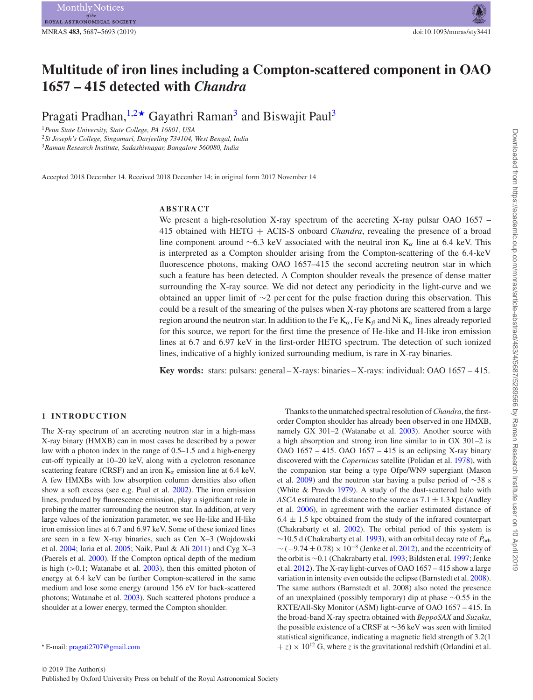# **Multitude of iron lines including a Compton-scattered component in OAO 1657 – 415 detected with** *Chandra*

Pragati Pradhan,<sup>1[,2](#page-0-1)\*</sup> Gayathri Raman<sup>3</sup> and Biswajit Paul<sup>3</sup>

<span id="page-0-0"></span><sup>1</sup>*Penn State University, State College, PA 16801, USA*

<span id="page-0-1"></span><sup>2</sup>*St Joseph's College, Singamari, Darjeeling 734104, West Bengal, India*

<span id="page-0-3"></span><sup>3</sup>*Raman Research Institute, Sadashivnagar, Bangalore 560080, India*

Accepted 2018 December 14. Received 2018 December 14; in original form 2017 November 14

## **ABSTRACT**

We present a high-resolution X-ray spectrum of the accreting X-ray pulsar OAO 1657 – 415 obtained with HETG + ACIS-S onboard *Chandra*, revealing the presence of a broad line component around ∼6.3 keV associated with the neutral iron K*<sup>α</sup>* line at 6.4 keV. This is interpreted as a Compton shoulder arising from the Compton-scattering of the 6.4-keV fluorescence photons, making OAO 1657–415 the second accreting neutron star in which such a feature has been detected. A Compton shoulder reveals the presence of dense matter surrounding the X-ray source. We did not detect any periodicity in the light-curve and we obtained an upper limit of ∼2 per cent for the pulse fraction during this observation. This could be a result of the smearing of the pulses when X-ray photons are scattered from a large region around the neutron star. In addition to the Fe  $K_\alpha$ , Fe  $K_\beta$  and Ni  $K_\alpha$  lines already reported for this source, we report for the first time the presence of He-like and H-like iron emission lines at 6.7 and 6.97 keV in the first-order HETG spectrum. The detection of such ionized lines, indicative of a highly ionized surrounding medium, is rare in X-ray binaries.

**Key words:** stars: pulsars: general – X-rays: binaries – X-rays: individual: OAO 1657 – 415.

# **1 INTRODUCTION**

The X-ray spectrum of an accreting neutron star in a high-mass X-ray binary (HMXB) can in most cases be described by a power law with a photon index in the range of 0.5–1.5 and a high-energy cut-off typically at 10–20 keV, along with a cyclotron resonance scattering feature (CRSF) and an iron K*<sup>α</sup>* emission line at 6.4 keV. A few HMXBs with low absorption column densities also often show a soft excess (see e.g. Paul et al. [2002\)](#page-6-0). The iron emission lines, produced by fluorescence emission, play a significant role in probing the matter surrounding the neutron star. In addition, at very large values of the ionization parameter, we see He-like and H-like iron emission lines at 6.7 and 6.97 keV. Some of these ionized lines are seen in a few X-ray binaries, such as Cen X–3 (Wojdowski et al. [2004;](#page-6-1) Iaria et al. [2005;](#page-6-2) Naik, Paul & Ali [2011\)](#page-6-3) and Cyg X–3 (Paerels et al. [2000\)](#page-6-4). If the Compton optical depth of the medium is high (*>*0.1; Watanabe et al. [2003\)](#page-6-5), then this emitted photon of energy at 6.4 keV can be further Compton-scattered in the same medium and lose some energy (around 156 eV for back-scattered photons; Watanabe et al. [2003\)](#page-6-5). Such scattered photons produce a shoulder at a lower energy, termed the Compton shoulder.

Thanks to the unmatched spectral resolution of*Chandra*, the firstorder Compton shoulder has already been observed in one HMXB, namely GX 301–2 (Watanabe et al. [2003\)](#page-6-5). Another source with a high absorption and strong iron line similar to in GX 301–2 is OAO 1657 – 415. OAO 1657 – 415 is an eclipsing X-ray binary discovered with the *Copernicus* satellite (Polidan et al. [1978\)](#page-6-6), with the companion star being a type Ofpe/WN9 supergiant (Mason et al. [2009\)](#page-6-7) and the neutron star having a pulse period of ∼38 s (White & Pravdo [1979\)](#page-6-8). A study of the dust-scattered halo with *ASCA* estimated the distance to the source as  $7.1 \pm 1.3$  kpc (Audley et al. [2006\)](#page-6-9), in agreement with the earlier estimated distance of  $6.4 \pm 1.5$  kpc obtained from the study of the infrared counterpart (Chakrabarty et al. [2002\)](#page-6-10). The orbital period of this system is ~10.5 d (Chakrabarty et al. [1993\)](#page-6-11), with an orbital decay rate of  $\dot{P}_{\text{ort}}$  $\sim$  (−9.74 ± 0.78) × 10<sup>-8</sup> (Jenke et al. [2012\)](#page-6-12), and the eccentricity of the orbit is ∼0.1 (Chakrabarty et al. [1993;](#page-6-11) Bildsten et al. [1997;](#page-6-13) Jenke et al. [2012\)](#page-6-12). The X-ray light-curves of OAO 1657 – 415 show a large variation in intensity even outside the eclipse (Barnstedt et al. [2008\)](#page-6-14). The same authors (Barnstedt et al. 2008) also noted the presence of an unexplained (possibly temporary) dip at phase ∼0.55 in the RXTE/All-Sky Monitor (ASM) light-curve of OAO 1657 – 415. In the broad-band X-ray spectra obtained with *BeppoSAX* and *Suzaku*, the possible existence of a CRSF at ∼36 keV was seen with limited statistical significance, indicating a magnetic field strength of 3.2(1  $+ z$ ) × 10<sup>12</sup> G, where *z* is the gravitational redshift (Orlandini et al.

<span id="page-0-2"></span>E-mail: [pragati2707@gmail.com](mailto:pragati2707@gmail.com)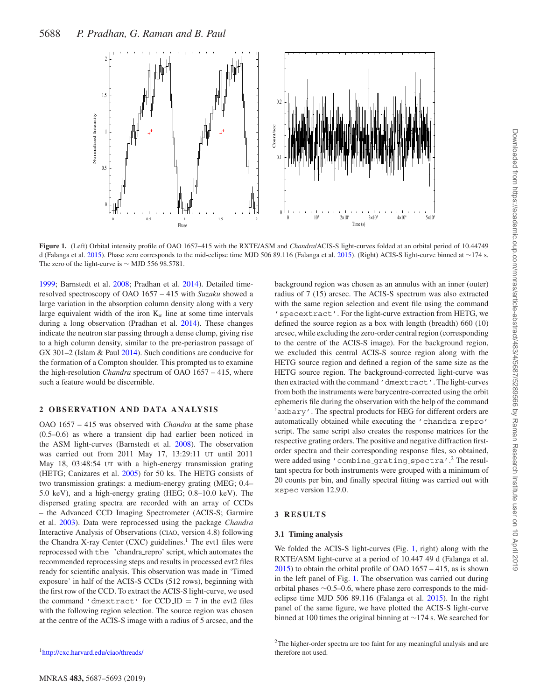<span id="page-1-0"></span>

**Figure 1.** (Left) Orbital intensity profile of OAO 1657–415 with the RXTE/ASM and *Chandra*/ACIS-S light-curves folded at an orbital period of 10.44749 d (Falanga et al. [2015\)](#page-6-15). Phase zero corresponds to the mid-eclipse time MJD 506 89.116 (Falanga et al. [2015\)](#page-6-15). (Right) ACIS-S light-curve binned at ∼174 s. The zero of the light-curve is ∼ MJD 556 98.5781.

[1999;](#page-6-16) Barnstedt et al. [2008;](#page-6-14) Pradhan et al. [2014\)](#page-6-17). Detailed timeresolved spectroscopy of OAO 1657 – 415 with *Suzaku* showed a large variation in the absorption column density along with a very large equivalent width of the iron  $K_{\alpha}$  line at some time intervals during a long observation (Pradhan et al. [2014\)](#page-6-17). These changes indicate the neutron star passing through a dense clump, giving rise to a high column density, similar to the pre-periastron passage of GX 301–2 (Islam & Paul [2014\)](#page-6-18). Such conditions are conducive for the formation of a Compton shoulder. This prompted us to examine the high-resolution *Chandra* spectrum of OAO 1657 – 415, where such a feature would be discernible.

# **2 OBSERVATION AND DATA ANALYSIS**

OAO 1657 – 415 was observed with *Chandra* at the same phase (0.5–0.6) as where a transient dip had earlier been noticed in the ASM light-curves (Barnstedt et al. [2008\)](#page-6-14). The observation was carried out from 2011 May 17, 13:29:11 UT until 2011 May 18, 03:48:54 UT with a high-energy transmission grating (HETG; Canizares et al. [2005\)](#page-6-19) for 50 ks. The HETG consists of two transmission gratings: a medium-energy grating (MEG; 0.4– 5.0 keV), and a high-energy grating (HEG; 0.8–10.0 keV). The dispersed grating spectra are recorded with an array of CCDs – the Advanced CCD Imaging Spectrometer (ACIS-S; Garmire et al. [2003\)](#page-6-20). Data were reprocessed using the package *Chandra* Interactive Analysis of Observations (CIAO, version 4.8) following the Chandra X-ray Center (CXC) guidelines.<sup>1</sup> The evt1 files were reprocessed with the 'chandra\_repro' script, which automates the recommended reprocessing steps and results in processed evt2 files ready for scientific analysis. This observation was made in 'Timed exposure' in half of the ACIS-S CCDs (512 rows), beginning with the first row of the CCD. To extract the ACIS-S light-curve, we used the command 'dmextract' for  $CCD$  ID = 7 in the evt2 files with the following region selection. The source region was chosen at the centre of the ACIS-S image with a radius of 5 arcsec, and the

[1http://cxc.harvard.edu/ciao/threads/](http://cxc.harvard.edu/ciao/threads/)

background region was chosen as an annulus with an inner (outer) radius of 7 (15) arcsec. The ACIS-S spectrum was also extracted with the same region selection and event file using the command 'specextract'. For the light-curve extraction from HETG, we defined the source region as a box with length (breadth) 660 (10) arcsec, while excluding the zero-order central region (corresponding to the centre of the ACIS-S image). For the background region, we excluded this central ACIS-S source region along with the HETG source region and defined a region of the same size as the HETG source region. The background-corrected light-curve was then extracted with the command 'dmextract'. The light-curves from both the instruments were barycentre-corrected using the orbit ephemeris file during the observation with the help of the command 'axbary'. The spectral products for HEG for different orders are automatically obtained while executing the 'chandra repro' script. The same script also creates the response matrices for the respective grating orders. The positive and negative diffraction firstorder spectra and their corresponding response files, so obtained, were added using 'combine\_grating\_spectra'.<sup>2</sup> The resultant spectra for both instruments were grouped with a minimum of 20 counts per bin, and finally spectral fitting was carried out with xspec version 12.9.0.

#### **3 RESULTS**

#### **3.1 Timing analysis**

We folded the ACIS-S light-curves (Fig. [1,](#page-1-0) right) along with the RXTE/ASM light-curve at a period of 10.447 49 d (Falanga et al. [2015\)](#page-6-15) to obtain the orbital profile of OAO 1657 – 415, as is shown in the left panel of Fig. [1.](#page-1-0) The observation was carried out during orbital phases ∼0.5–0.6, where phase zero corresponds to the mideclipse time MJD 506 89.116 (Falanga et al. [2015\)](#page-6-15). In the right panel of the same figure, we have plotted the ACIS-S light-curve binned at 100 times the original binning at ∼174 s. We searched for

 $2$ The higher-order spectra are too faint for any meaningful analysis and are therefore not used.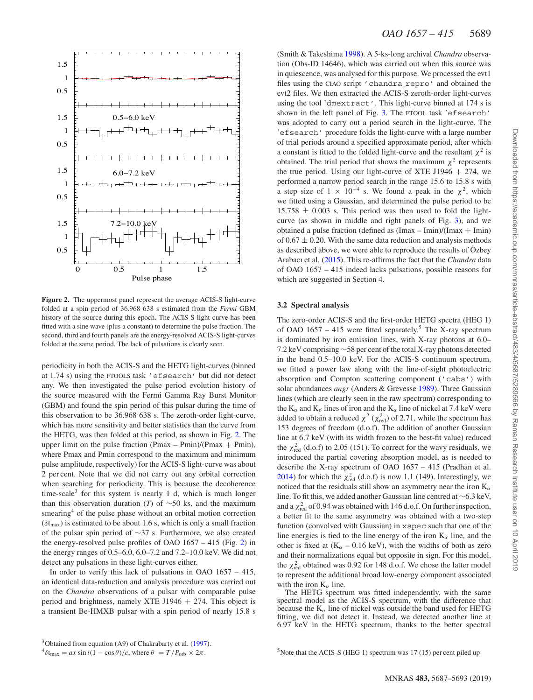<span id="page-2-0"></span>

**Figure 2.** The uppermost panel represent the average ACIS-S light-curve folded at a spin period of 36.968 638 s estimated from the *Fermi* GBM history of the source during this epoch. The ACIS-S light-curve has been fitted with a sine wave (plus a constant) to determine the pulse fraction. The second, third and fourth panels are the energy-resolved ACIS-S light-curves folded at the same period. The lack of pulsations is clearly seen.

periodicity in both the ACIS-S and the HETG light-curves (binned at 1.74 s) using the FTOOLS task 'efsearch' but did not detect any. We then investigated the pulse period evolution history of the source measured with the Fermi Gamma Ray Burst Monitor (GBM) and found the spin period of this pulsar during the time of this observation to be 36.968 638 s. The zeroth-order light-curve, which has more sensitivity and better statistics than the curve from the HETG, was then folded at this period, as shown in Fig. [2.](#page-2-0) The upper limit on the pulse fraction  $(Pmax - Pmin)/(Pmax + Pmin)$ , where Pmax and Pmin correspond to the maximum and minimum pulse amplitude, respectively) for the ACIS-S light-curve was about 2 per cent. Note that we did not carry out any orbital correction when searching for periodicity. This is because the decoherence time-scale<sup>3</sup> for this system is nearly 1 d, which is much longer than this observation duration (*T*) of  $\sim$ 50 ks, and the maximum smearing<sup>4</sup> of the pulse phase without an orbital motion correction  $(\delta t_{\text{max}})$  is estimated to be about 1.6 s, which is only a small fraction of the pulsar spin period of ∼37 s. Furthermore, we also created the energy-resolved pulse profiles of OAO 1657 – 415 (Fig. [2\)](#page-2-0) in the energy ranges of 0.5–6.0, 6.0–7.2 and 7.2–10.0 keV. We did not detect any pulsations in these light-curves either.

In order to verify this lack of pulsations in OAO 1657 – 415, an identical data-reduction and analysis procedure was carried out on the *Chandra* observations of a pulsar with comparable pulse period and brightness, namely XTE J1946  $+$  274. This object is a transient Be-HMXB pulsar with a spin period of nearly 15.8 s (Smith & Takeshima [1998\)](#page-6-22). A 5-ks-long archival *Chandra* observation (Obs-ID 14646), which was carried out when this source was in quiescence, was analysed for this purpose. We processed the evt1 files using the CIAO script 'chandra repro' and obtained the evt2 files. We then extracted the ACIS-S zeroth-order light-curves using the tool 'dmextract'. This light-curve binned at 174 s is shown in the left panel of Fig. [3.](#page-3-0) The FTOOL task 'efsearch' was adopted to carry out a period search in the light-curve. The 'efsearch' procedure folds the light-curve with a large number of trial periods around a specified approximate period, after which a constant is fitted to the folded light-curve and the resultant  $\chi^2$  is obtained. The trial period that shows the maximum  $\chi^2$  represents the true period. Using our light-curve of XTE J1946  $+$  274, we performed a narrow period search in the range 15.6 to 15.8 s with a step size of  $1 \times 10^{-4}$  s. We found a peak in the  $\chi^2$ , which we fitted using a Gaussian, and determined the pulse period to be  $15.758 \pm 0.003$  s. This period was then used to fold the lightcurve (as shown in middle and right panels of Fig. [3\)](#page-3-0), and we obtained a pulse fraction (defined as  $(Imax - Imin)/(Imax + Imin)$ ) of  $0.67 \pm 0.20$ . With the same data reduction and analysis methods as described above, we were able to reproduce the results of  $\ddot{O}$ zbey Arabacı et al. [\(2015\)](#page-6-23). This re-affirms the fact that the *Chandra* data of OAO 1657 – 415 indeed lacks pulsations, possible reasons for which are suggested in Section 4.

## **3.2 Spectral analysis**

The zero-order ACIS-S and the first-order HETG spectra (HEG 1) of OAO  $1657 - 415$  were fitted separately.<sup>5</sup> The X-ray spectrum is dominated by iron emission lines, with X-ray photons at 6.0– 7.2 keV comprising ∼58 per cent of the total X-ray photons detected in the band 0.5–10.0 keV. For the ACIS-S continuum spectrum, we fitted a power law along with the line-of-sight photoelectric absorption and Compton scattering component ('cabs') with solar abundances *angr* (Anders & Grevesse [1989\)](#page-6-24). Three Gaussian lines (which are clearly seen in the raw spectrum) corresponding to the  $K_\alpha$  and  $K_\beta$  lines of iron and the  $K_\alpha$  line of nickel at 7.4 keV were added to obtain a reduced  $\chi^2$  ( $\chi^2_{\text{red}}$ ) of 2.71, while the spectrum has 153 degrees of freedom (d.o.f). The addition of another Gaussian line at 6.7 keV (with its width frozen to the best-fit value) reduced the  $\chi^2_{\text{red}}$  (d.o.f) to 2.05 (151). To correct for the wavy residuals, we introduced the partial covering absorption model, as is needed to describe the X-ray spectrum of OAO 1657 – 415 (Pradhan et al. [2014\)](#page-6-17) for which the  $\chi^2_{\text{red}}$  (d.o.f) is now 1.1 (149). Interestingly, we noticed that the residuals still show an asymmetry near the iron K*<sup>α</sup>* line. To fit this, we added another Gaussian line centred at ∼6.3 keV, and a  $\chi^2_{\text{red}}$  of 0.94 was obtained with 146 d.o.f. On further inspection, a better fit to the same asymmetry was obtained with a two-step function (convolved with Gaussian) in xspec such that one of the line energies is tied to the line energy of the iron K*<sup>α</sup>* line, and the other is fixed at  $(K_{\alpha} - 0.16 \text{ keV})$ , with the widths of both as zero and their normalizations equal but opposite in sign. For this model, the  $\chi^2_{\text{red}}$  obtained was 0.92 for 148 d.o.f. We chose the latter model to represent the additional broad low-energy component associated with the iron K*<sup>α</sup>* line.

The HETG spectrum was fitted independently, with the same spectral model as the ACIS-S spectrum, with the difference that because the  $K_\alpha$  line of nickel was outside the band used for HETG fitting, we did not detect it. Instead, we detected another line at 6.97 keV in the HETG spectrum, thanks to the better spectral

<sup>&</sup>lt;sup>3</sup>Obtained from equation (A9) of Chakrabarty et al. [\(1997\)](#page-6-21).

 $^{4}\delta t_{\text{max}} = ax \sin i(1 - \cos \theta)/c$ , where  $\theta = T/P_{\text{orb}} \times 2\pi$ .

 $5$ Note that the ACIS-S (HEG 1) spectrum was 17 (15) per cent piled up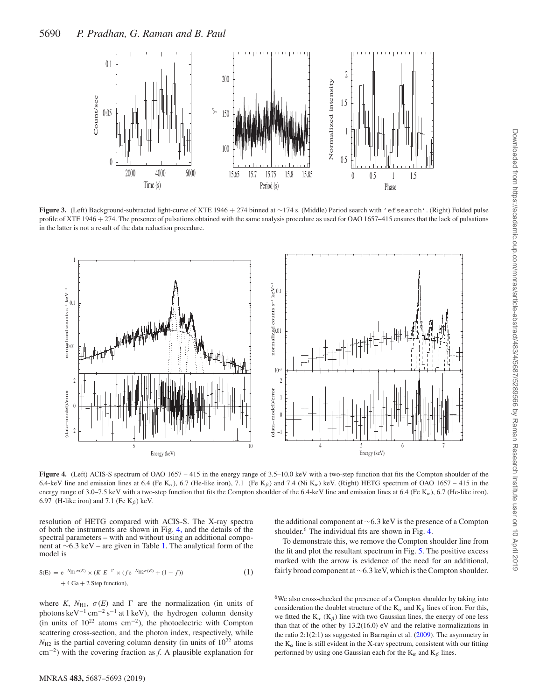<span id="page-3-0"></span>

**Figure 3.** (Left) Background-subtracted light-curve of XTE 1946 + 274 binned at ∼174 s. (Middle) Period search with 'efsearch'. (Right) Folded pulse profile of XTE 1946 + 274. The presence of pulsations obtained with the same analysis procedure as used for OAO 1657–415 ensures that the lack of pulsations in the latter is not a result of the data reduction procedure.

<span id="page-3-1"></span>

**Figure 4.** (Left) ACIS-S spectrum of OAO 1657 – 415 in the energy range of 3.5–10.0 keV with a two-step function that fits the Compton shoulder of the 6.4-keV line and emission lines at 6.4 (Fe K<sub>a</sub>), 6.7 (He-like iron), 7.1 (Fe K<sub>β</sub>) and 7.4 (Ni K<sub>a</sub>) keV. (Right) HETG spectrum of OAO 1657 – 415 in the energy range of 3.0–7.5 keV with a two-step function that fits the Compton shoulder of the 6.4-keV line and emission lines at 6.4 (Fe  $K_{\alpha}$ ), 6.7 (He-like iron), 6.97 (H-like iron) and 7.1 (Fe K*<sup>β</sup>* ) keV.

resolution of HETG compared with ACIS-S. The X-ray spectra of both the instruments are shown in Fig. [4,](#page-3-1) and the details of the spectral parameters – with and without using an additional component at ∼6.3 keV – are given in Table [1.](#page-4-0) The analytical form of the model is

$$
S(E) = e^{-N_{\text{H1}}\sigma(E)} \times (K E^{-\Gamma} \times (f e^{-N_{\text{H2}}\sigma(E)} + (1 - f))
$$
  
+4 Ga + 2 Step function), (1)

where *K*,  $N_{\text{H1}}$ ,  $\sigma(E)$  and  $\Gamma$  are the normalization (in units of photons keV<sup>-1</sup> cm<sup>-2</sup> s<sup>-1</sup> at 1 keV), the hydrogen column density (in units of  $10^{22}$  atoms cm<sup>-2</sup>), the photoelectric with Compton scattering cross-section, and the photon index, respectively, while  $N_{\text{H2}}$  is the partial covering column density (in units of  $10^{22}$  atoms cm−2) with the covering fraction as *f*. A plausible explanation for

the additional component at ∼6.3 keV is the presence of a Compton shoulder.<sup>6</sup> The individual fits are shown in Fig. [4.](#page-3-1)

To demonstrate this, we remove the Compton shoulder line from the fit and plot the resultant spectrum in Fig. [5.](#page-5-0) The positive excess marked with the arrow is evidence of the need for an additional, fairly broad component at ∼6.3 keV, which is the Compton shoulder.

<sup>6</sup>We also cross-checked the presence of a Compton shoulder by taking into consideration the doublet structure of the  $K_\alpha$  and  $K_\beta$  lines of iron. For this, we fitted the  $K_\alpha$  ( $K_\beta$ ) line with two Gaussian lines, the energy of one less than that of the other by 13.2(16.0) eV and the relative normalizations in the ratio  $2:1(2:1)$  as suggested in Barragan et al.  $(2009)$  $(2009)$ . The asymmetry in the  $K_\alpha$  line is still evident in the X-ray spectrum, consistent with our fitting performed by using one Gaussian each for the K*<sup>α</sup>* and K*<sup>β</sup>* lines.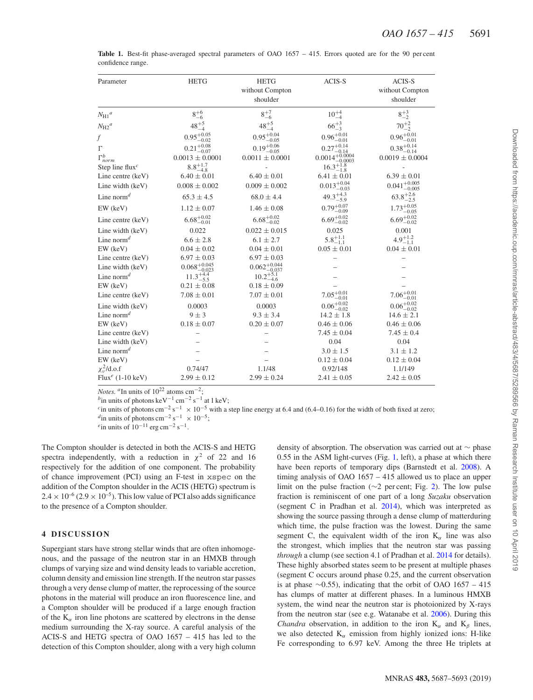| Parameter                                | <b>HETG</b>               | <b>HETG</b><br>without Compton<br>shoulder | ACIS-S                              | ACIS-S<br>without Compton<br>shoulder |
|------------------------------------------|---------------------------|--------------------------------------------|-------------------------------------|---------------------------------------|
| $N_{\rm H1}{}^a$                         | $8^{+6}_{-6}$             | $8^{+7}_{-6}$                              | $10^{+4}_{-4}$                      | $8^{+3}_{-2}$                         |
| $N_{\rm H2}^{\phantom{2}}$               | $48^{+5}_{-4}$            | $48^{+5}_{-4}$                             | $66^{+3}_{-3}$                      | $70^{+2}_{-2}$                        |
| f                                        | $0.95_{-0.02}^{+0.05}$    | $0.95_{-0.05}^{+0.04}$                     | $0.96^{+0.01}_{-0.01}$              | $0.96^{+0.01}_{-0.01}$                |
| $\Gamma$                                 | $0.21_{-0.07}^{+0.08}$    | $0.19_{-0.05}^{+0.06}$                     | $0.27^{+0.14}_{-0.14}$              | $0.38^{+0.14}_{-0.14}$                |
| $\Gamma_{norm}^b$                        | $0.0013 \pm 0.0001$       | $0.0011 \pm 0.0001$                        | $0.0014\substack{+0.0004\\-0.0003}$ | $0.0019 \pm 0.0004$                   |
| Step line flux <sup><math>c</math></sup> | $8.8^{+1.7}_{-4.8}$       |                                            | $16.3^{+1.8}_{-1.8}$                |                                       |
| Line centre (keV)                        | $6.40 \pm 0.01$           | $6.40 \pm 0.01$                            | $6.41 \pm 0.01$                     | $6.39 \pm 0.01$                       |
| Line width (keV)                         | $0.008 \pm 0.002$         | $0.009 \pm 0.002$                          | $0.013_{-0.03}^{+0.04}$             | $0.041^{+0.005}_{-0.005}$             |
| Line norm <sup><math>d</math></sup>      | $65.3 \pm 4.5$            | $68.0 \pm 4.4$                             | $49.3^{+4.3}_{-5.9}$                | $63.8^{+2.6}_{-2.5}$                  |
| EW (keV)                                 | $1.12 \pm 0.07$           | $1.46 \pm 0.08$                            | $0.79^{+0.07}_{-0.09}$              | $1.73^{+0.05}_{-0.05}$                |
| Line centre (keV)                        | $6.68^{+0.02}_{-0.01}$    | $6.68^{+0.02}_{-0.02}$                     | $6.69^{+0.02}_{-0.02}$              | $6.69^{+0.02}_{-0.02}$                |
| Line width (keV)                         | 0.022                     | $0.022 \pm 0.015$                          | 0.025                               | 0.001                                 |
| Line norm <sup><math>d</math></sup>      | $6.6 \pm 2.8$             | $6.1 \pm 2.7$                              | $5.8^{+1.1}_{-1.1}$                 | $4.9^{+1.2}_{-1.1}$                   |
| EW (keV)                                 | $0.04 \pm 0.02$           | $0.04 \pm 0.01$                            | $0.05 \pm 0.01$                     | $0.04 \pm 0.01$                       |
| Line centre (keV)                        | $6.97 \pm 0.03$           | $6.97 \pm 0.03$                            |                                     |                                       |
| Line width (keV)                         | $0.068_{-0.023}^{+0.045}$ | $0.062^{+0.044}_{-0.037}$                  |                                     |                                       |
| Line norm <sup><math>d</math></sup>      | $11.3^{+4.4}_{-5.5}$      | $10.2^{+5.1}_{-4.6}$                       |                                     |                                       |
| EW (keV)                                 | $0.21 \pm 0.08$           | $0.18 \pm 0.09$                            |                                     |                                       |
| Line centre (keV)                        | $7.08 \pm 0.01$           | $7.07 \pm 0.01$                            | $7.05^{+0.01}_{-0.01}$              | $7.06^{+0.01}_{-0.01}$                |
| Line width (keV)                         | 0.0003                    | 0.0003                                     | $0.06 \substack{+0.02 \\ -0.02}$    | $0.06_{-0.02}^{+0.02}$                |
| Line norm <sup><math>d</math></sup>      | $9 \pm 3$                 | $9.3 \pm 3.4$                              | $14.2 \pm 1.8$                      | $14.6 \pm 2.1$                        |
| EW (keV)                                 | $0.18 \pm 0.07$           | $0.20 \pm 0.07$                            | $0.46 \pm 0.06$                     | $0.46 \pm 0.06$                       |
| Line centre (keV)                        |                           |                                            | $7.45 \pm 0.04$                     | $7.45 \pm 0.4$                        |
| Line width (keV)                         |                           |                                            | 0.04                                | 0.04                                  |
| Line norm <sup><math>d</math></sup>      |                           |                                            | $3.0 \pm 1.5$                       | $3.1 \pm 1.2$                         |
| EW (keV)                                 |                           |                                            | $0.12 \pm 0.04$                     | $0.12 \pm 0.04$                       |
| $\chi_v^2$ /d.o.f                        | 0.74/47                   | 1.1/48                                     | 0.92/148                            | 1.1/149                               |
| Flux <sup>e</sup> (1-10 keV)             | $2.99 \pm 0.12$           | $2.99 \pm 0.24$                            | $2.41 \pm 0.05$                     | $2.42 \pm 0.05$                       |

<span id="page-4-0"></span>Table 1. Best-fit phase-averaged spectral parameters of OAO 1657 – 415. Errors quoted are for the 90 per cent confidence range.

*Notes.*  ${}^a$ In units of 10<sup>22</sup> atoms cm<sup>-2</sup>;

*b*in units of photons keV<sup>-1</sup> cm<sup>-2</sup> s<sup>-1</sup> at 1 keV;

<sup>*c*</sup>in units of photons cm<sup>-2</sup> s<sup>-1</sup> × 10<sup>-5</sup> with a step line energy at 6.4 and (6.4–0.16) for the width of both fixed at zero; *d*<sup>i</sup>n units of 10<sup>-11</sup> erg cm<sup>-2</sup> s<sup>-1</sup>.

The Compton shoulder is detected in both the ACIS-S and HETG spectra independently, with a reduction in  $\chi^2$  of 22 and 16 respectively for the addition of one component. The probability of chance improvement (PCI) using an F-test in xspec on the addition of the Compton shoulder in the ACIS (HETG) spectrum is  $2.4 \times 10^{-6}$  (2.9  $\times$  10<sup>-5</sup>). This low value of PCI also adds significance to the presence of a Compton shoulder.

# **4 DISCUSSION**

Supergiant stars have strong stellar winds that are often inhomogenous, and the passage of the neutron star in an HMXB through clumps of varying size and wind density leads to variable accretion, column density and emission line strength. If the neutron star passes through a very dense clump of matter, the reprocessing of the source photons in the material will produce an iron fluorescence line, and a Compton shoulder will be produced if a large enough fraction of the  $K_\alpha$  iron line photons are scattered by electrons in the dense medium surrounding the X-ray source. A careful analysis of the ACIS-S and HETG spectra of OAO 1657 – 415 has led to the detection of this Compton shoulder, along with a very high column density of absorption. The observation was carried out at ∼ phase 0.55 in the ASM light-curves (Fig. [1,](#page-1-0) left), a phase at which there have been reports of temporary dips (Barnstedt et al. [2008\)](#page-6-14). A timing analysis of OAO 1657 – 415 allowed us to place an upper limit on the pulse fraction (∼2 per cent; Fig. [2\)](#page-2-0). The low pulse fraction is reminiscent of one part of a long *Suzaku* observation (segment C in Pradhan et al. [2014\)](#page-6-17), which was interpreted as showing the source passing through a dense clump of matterduring which time, the pulse fraction was the lowest. During the same segment C, the equivalent width of the iron  $K_\alpha$  line was also the strongest, which implies that the neutron star was passing *through* a clump (see section 4.1 of Pradhan et al. [2014](#page-6-17) for details). These highly absorbed states seem to be present at multiple phases (segment C occurs around phase 0.25, and the current observation is at phase  $\sim$ 0.55), indicating that the orbit of OAO 1657 – 415 has clumps of matter at different phases. In a luminous HMXB system, the wind near the neutron star is photoionized by X-rays from the neutron star (see e.g. Watanabe et al. [2006\)](#page-6-26). During this *Chandra* observation, in addition to the iron  $K_\alpha$  and  $K_\beta$  lines, we also detected  $K_\alpha$  emission from highly ionized ions: H-like Fe corresponding to 6.97 keV. Among the three He triplets at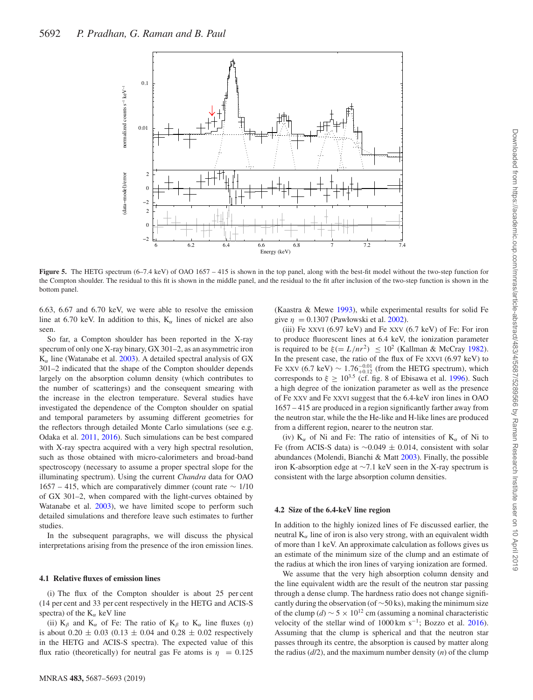<span id="page-5-0"></span>

**Figure 5.** The HETG spectrum (6–7.4 keV) of OAO 1657 – 415 is shown in the top panel, along with the best-fit model without the two-step function for the Compton shoulder. The residual to this fit is shown in the middle panel, and the residual to the fit after inclusion of the two-step function is shown in the bottom panel.

6.63, 6.67 and 6.70 keV, we were able to resolve the emission line at 6.70 keV. In addition to this,  $K_\alpha$  lines of nickel are also seen.

So far, a Compton shoulder has been reported in the X-ray specrum of only one X-ray binary, GX 301–2, as an asymmetric iron  $K_{\alpha}$  line (Watanabe et al. [2003\)](#page-6-5). A detailed spectral analysis of GX 301–2 indicated that the shape of the Compton shoulder depends largely on the absorption column density (which contributes to the number of scatterings) and the consequent smearing with the increase in the electron temperature. Several studies have investigated the dependence of the Compton shoulder on spatial and temporal parameters by assuming different geometries for the reflectors through detailed Monte Carlo simulations (see e.g. Odaka et al. [2011,](#page-6-27) [2016\)](#page-6-28). Such simulations can be best compared with X-ray spectra acquired with a very high spectral resolution, such as those obtained with micro-calorimeters and broad-band spectroscopy (necessary to assume a proper spectral slope for the illuminating spectrum). Using the current *Chandra* data for OAO 1657 – 415, which are comparatively dimmer (count rate  $\sim 1/10$ ) of GX 301–2, when compared with the light-curves obtained by Watanabe et al. [2003\)](#page-6-5), we have limited scope to perform such detailed simulations and therefore leave such estimates to further studies.

In the subsequent paragraphs, we will discuss the physical interpretations arising from the presence of the iron emission lines.

## **4.1 Relative fluxes of emission lines**

(i) The flux of the Compton shoulder is about 25 per cent (14 per cent and 33 per cent respectively in the HETG and ACIS-S spectra) of the K*<sup>α</sup>* keV line

(ii)  $K_\beta$  and  $K_\alpha$  of Fe: The ratio of  $K_\beta$  to  $K_\alpha$  line fluxes (*η*) is about 0.20  $\pm$  0.03 (0.13  $\pm$  0.04 and 0.28  $\pm$  0.02 respectively in the HETG and ACIS-S spectra). The expected value of this flux ratio (theoretically) for neutral gas Fe atoms is  $\eta = 0.125$ 

(Kaastra & Mewe [1993\)](#page-6-29), while experimental results for solid Fe give  $\eta = 0.1307$  (Pawłowski et al. [2002\)](#page-6-30).

(iii) Fe XXVI (6.97 keV) and Fe XXV (6.7 keV) of Fe: For iron to produce fluorescent lines at 6.4 keV, the ionization parameter is required to be  $\xi = L/nr^2$ )  $\leq 10^2$  (Kallman & McCray [1982\)](#page-6-31). In the present case, the ratio of the flux of Fe XXVI (6.97 keV) to Fe XXV (6.7 keV)  $\sim 1.76_{+0.12}^{-0.01}$  (from the HETG spectrum), which corresponds to  $\xi \ge 10^{3.5}$  (cf. fig. 8 of Ebisawa et al. [1996\)](#page-6-32). Such a high degree of the ionization parameter as well as the presence of Fe XXV and Fe XXVI suggest that the 6.4-keV iron lines in OAO 1657 – 415 are produced in a region significantly farther away from the neutron star, while the the He-like and H-like lines are produced from a different region, nearer to the neutron star.

(iv)  $K_\alpha$  of Ni and Fe: The ratio of intensities of  $K_\alpha$  of Ni to Fe (from ACIS-S data) is  $∼0.049 \pm 0.014$ , consistent with solar abundances (Molendi, Bianchi & Matt [2003\)](#page-6-33). Finally, the possible iron K-absorption edge at ∼7.1 keV seen in the X-ray spectrum is consistent with the large absorption column densities.

## **4.2 Size of the 6.4-keV line region**

In addition to the highly ionized lines of Fe discussed earlier, the neutral  $K_\alpha$  line of iron is also very strong, with an equivalent width of more than 1 keV. An approximate calculation as follows gives us an estimate of the minimum size of the clump and an estimate of the radius at which the iron lines of varying ionization are formed.

We assume that the very high absorption column density and the line equivalent width are the result of the neutron star passing through a dense clump. The hardness ratio does not change significantly during the observation (of ∼50 ks), making the minimum size of the clump (*d*) ~ 5 × 10<sup>12</sup> cm (assuming a nominal characteristic velocity of the stellar wind of  $1000 \text{ km s}^{-1}$ ; Bozzo et al. [2016\)](#page-6-34). Assuming that the clump is spherical and that the neutron star passes through its centre, the absorption is caused by matter along the radius (*d*/2), and the maximum number density (*n*) of the clump